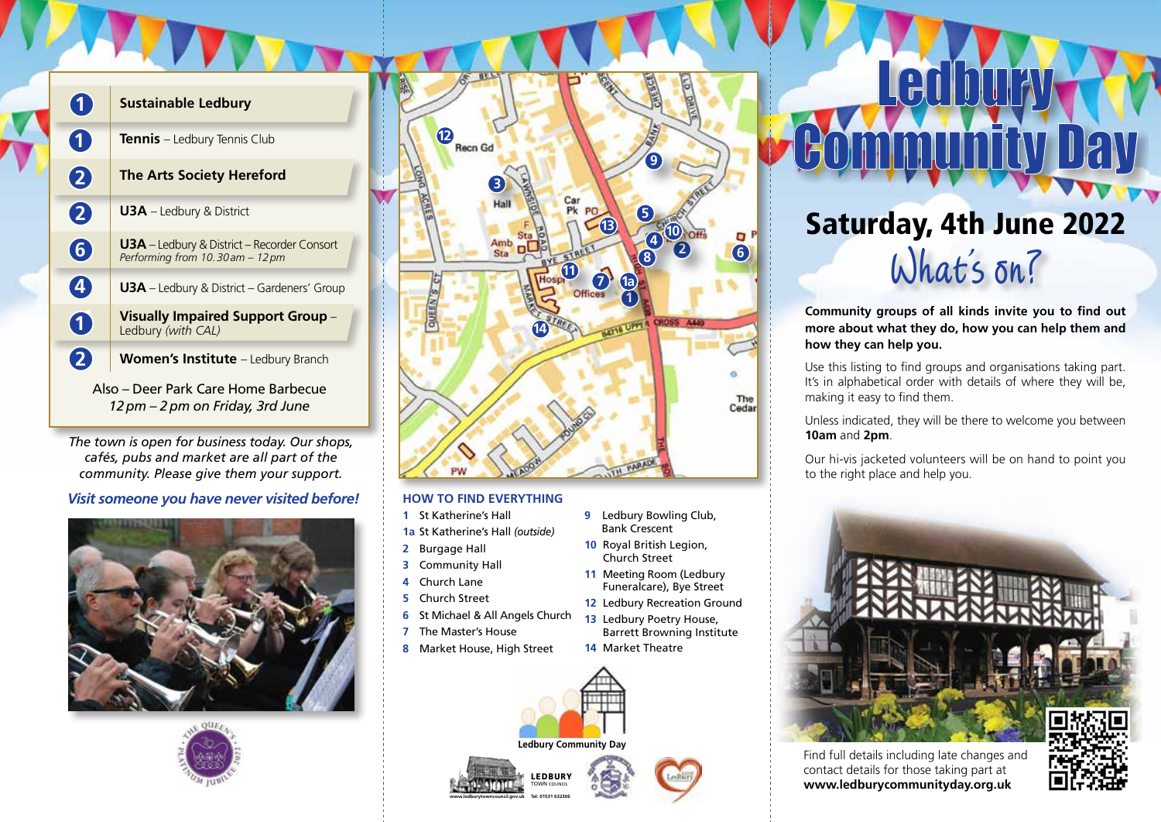

## **Sustainable Ledbury**

**Tennis** – Ledbury Tennis Club

## **The Arts Society Hereford**

**U3A** – Ledbury & District

**U3A** – Ledbury & District – Recorder Consort *Performing from 10. 30 am – 12 pm*

**U3A** – Ledbury & District – Gardeners' Group

**Visually Impaired Support Group** – Ledbury *(with CAL)*

Women's Institute - Ledbury Branch

Also – Deer Park Care Home Barbecue *12 pm – 2 pm on Friday, 3rd June*

*The town is open for business today. Our shops, cafés, pubs and market are all part of the community. Please give them your support.*

*Visit someone you have never visited before!*







## **HOW TO FIND EVERYTHING**

- **1** St Katherine's Hall
- **1a** St Katherine's Hall *(outside)*
- **2** Burgage Hall
- **3** Community Hall
- **4** Church Lane
- **5** Church Street
- **6** St Michael & All Angels Church
- **7** The Master's House
- **8** Market House, High Street



LEDBURY TOWN COUNCIL

**www.ledburytowncouncil.gov.uk Tel: 01531 632306**



**14** Market Theatre

**9** Ledbury Bowling Club, Bank Crescent **10** Royal British Legion, Church Street **11** Meeting Room (Ledbury Funeralcare), Bye Street **12** Ledbury Recreation Ground **13** Ledbury Poetry House, Barrett Browning Institute



Ledbury

Community Day

**more about what they do, how you can help them and how they can help you.**

Use this listing to find groups and organisations taking part. It's in alphabetical order with details of where they will be, making it easy to find them.

Unless indicated, they will be there to welcome you between **10am** and **2pm**.

Our hi-vis jacketed volunteers will be on hand to point you to the right place and help you.



Find full details including late changes and contact details for those taking part at **www.ledburycommunityday.org.uk**